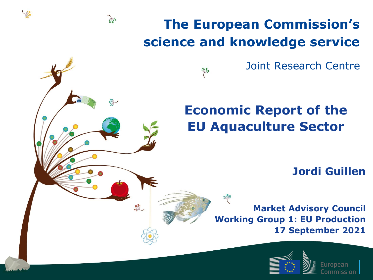



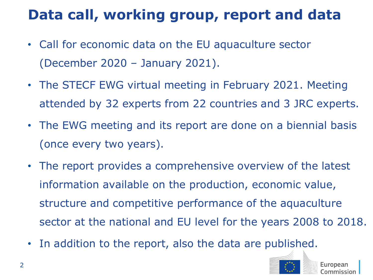## **Data call, working group, report and data**

- Call for economic data on the EU aquaculture sector (December 2020 – January 2021).
- The STECF EWG virtual meeting in February 2021. Meeting attended by 32 experts from 22 countries and 3 JRC experts.
- The EWG meeting and its report are done on a biennial basis (once every two years).
- The report provides a comprehensive overview of the latest information available on the production, economic value, structure and competitive performance of the aquaculture sector at the national and EU level for the years 2008 to 2018.
- In addition to the report, also the data are published.

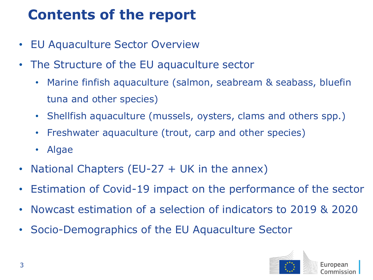# **Contents of the report**

- EU Aquaculture Sector Overview
- The Structure of the EU aquaculture sector
	- Marine finfish aquaculture (salmon, seabream & seabass, bluefin tuna and other species)
	- Shellfish aquaculture (mussels, oysters, clams and others spp.)
	- Freshwater aquaculture (trout, carp and other species)
	- Algae
- National Chapters (EU-27  $+$  UK in the annex)
- Estimation of Covid-19 impact on the performance of the sector
- Nowcast estimation of a selection of indicators to 2019 & 2020
- Socio-Demographics of the EU Aquaculture Sector

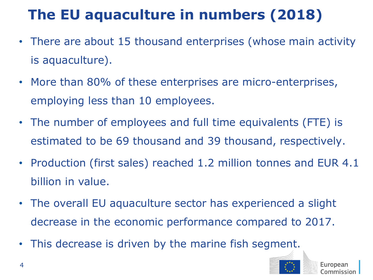# **The EU aquaculture in numbers (2018)**

- There are about 15 thousand enterprises (whose main activity is aquaculture).
- More than 80% of these enterprises are micro-enterprises, employing less than 10 employees.
- The number of employees and full time equivalents (FTE) is estimated to be 69 thousand and 39 thousand, respectively.
- Production (first sales) reached 1.2 million tonnes and EUR 4.1 billion in value.
- The overall EU aquaculture sector has experienced a slight decrease in the economic performance compared to 2017.
- This decrease is driven by the marine fish segment.

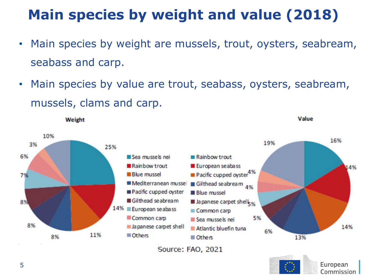### **Main species by weight and value (2018)**

- Main species by weight are mussels, trout, oysters, seabream, seabass and carp.
- Main species by value are trout, seabass, oysters, seabream, mussels, clams and carp.

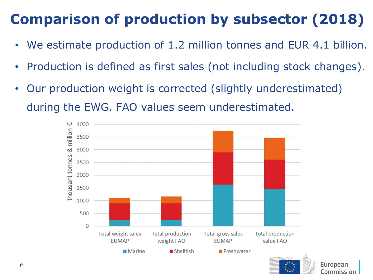## **Comparison of production by subsector (2018)**

- We estimate production of 1.2 million tonnes and EUR 4.1 billion.
- Production is defined as first sales (not including stock changes).
- Our production weight is corrected (slightly underestimated) during the EWG. FAO values seem underestimated.



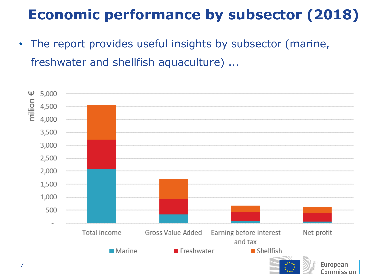### **Economic performance by subsector (2018)**

• The report provides useful insights by subsector (marine, freshwater and shellfish aquaculture) ...



Commission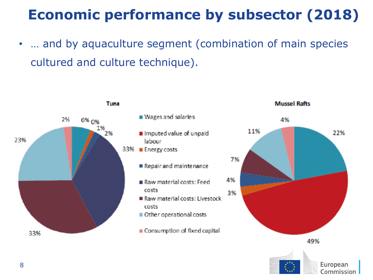### **Economic performance by subsector (2018)**

• … and by aquaculture segment (combination of main species cultured and culture technique).



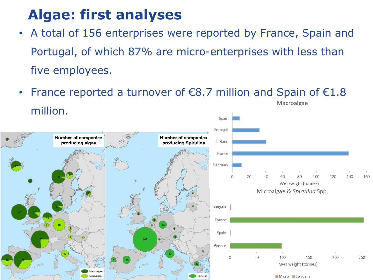#### **Algae: first analyses**

- A total of 156 enterprises were reported by France, Spain and Portugal, of which 87% are micro-enterprises with less than five employees.
- France reported a turnover of  $\epsilon$ 8.7 million and Spain of  $\epsilon$ 1.8 Macroalgae million.

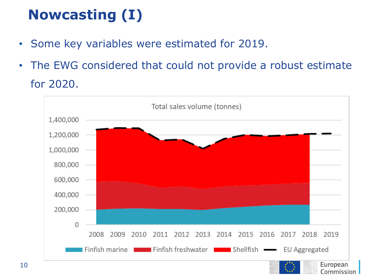# **Nowcasting (I)**

- Some key variables were estimated for 2019.
- The EWG considered that could not provide a robust estimate for 2020.



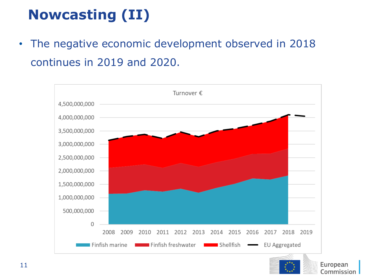# **Nowcasting (II)**

• The negative economic development observed in 2018 continues in 2019 and 2020.



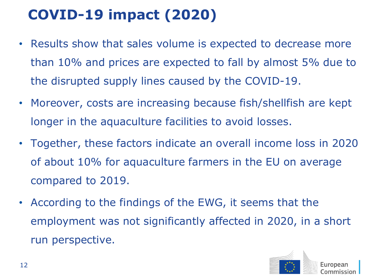# **COVID-19 impact (2020)**

- Results show that sales volume is expected to decrease more than 10% and prices are expected to fall by almost 5% due to the disrupted supply lines caused by the COVID-19.
- Moreover, costs are increasing because fish/shellfish are kept longer in the aquaculture facilities to avoid losses.
- Together, these factors indicate an overall income loss in 2020 of about 10% for aquaculture farmers in the EU on average compared to 2019.
- According to the findings of the EWG, it seems that the employment was not significantly affected in 2020, in a short run perspective.

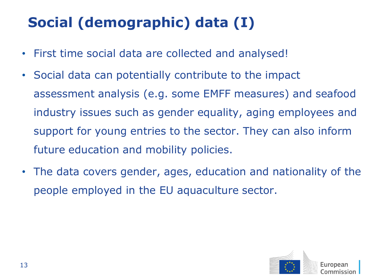# **Social (demographic) data (I)**

- First time social data are collected and analysed!
- Social data can potentially contribute to the impact assessment analysis (e.g. some EMFF measures) and seafood industry issues such as gender equality, aging employees and support for young entries to the sector. They can also inform future education and mobility policies.
- The data covers gender, ages, education and nationality of the people employed in the EU aquaculture sector.

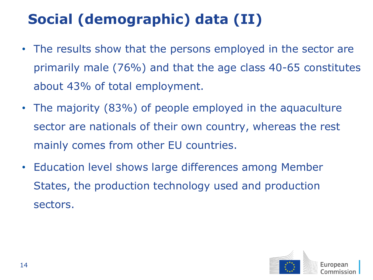# **Social (demographic) data (II)**

- The results show that the persons employed in the sector are primarily male (76%) and that the age class 40-65 constitutes about 43% of total employment.
- The majority (83%) of people employed in the aquaculture sector are nationals of their own country, whereas the rest mainly comes from other EU countries.
- Education level shows large differences among Member States, the production technology used and production sectors.